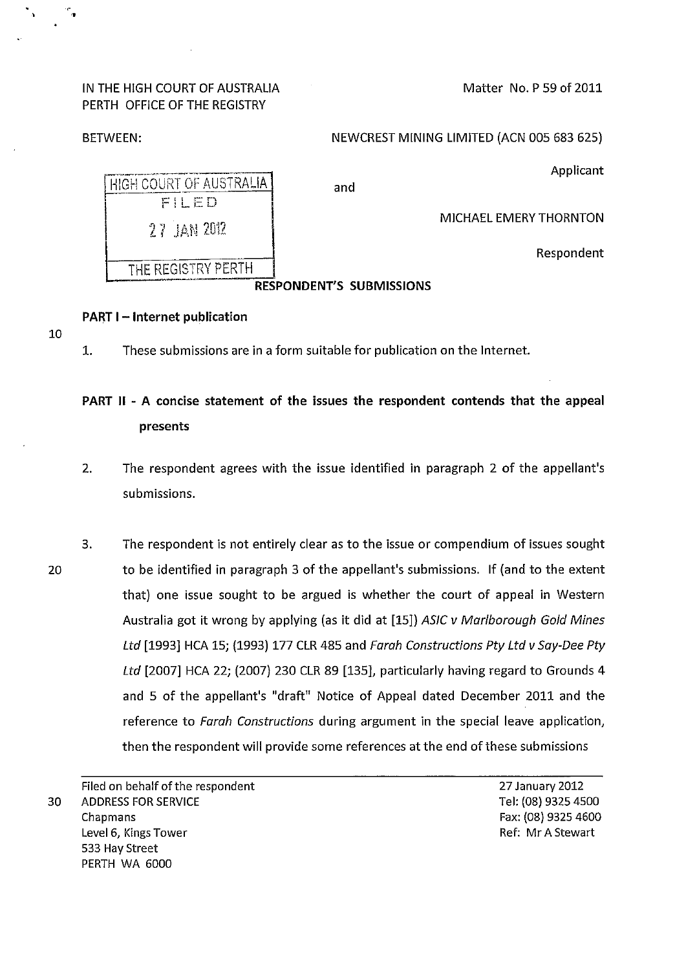IN THE HIGH COURT OF AUSTRALIA PERTH OFFICE OF THE REGISTRY

PART I - Internet publication

Matter No. P 59 of 2011

BETWEEN: NEW CREST MINING LIMITED (ACN 005 683 625)

Applicant

| and | HIGH COURT OF AUSTRALIA |
|-----|-------------------------|
|     | FILED                   |
|     | 27 IAN 2012             |
|     | THE REGISTRY PERTH      |
|     |                         |

MICHAEL EMERY THORNTON

Respondent

### RESPONDENT'S SUBMISSIONS

## 10

,,

1. These submissions are in a form suitable for publication on the Internet.

# PART II - A concise statement of the issues the respondent contends that the appeal presents

- 2. The respondent agrees with the issue identified in paragraph 2 of the appellant's submissions.
- 20 3. The respondent is not entirely clear as to the issue or compendium of issues sought to be identified in paragraph 3 of the appellant's submissions. If (and to the extent that) one issue sought to be argued is whether the court of appeal in Western Australia got it wrong by applying (as it did at [15]) ASIC v Marlborough Gold Mines Ltd [1993] HCA 15; (1993) 177 CLR 485 and Farah Constructions Pty Ltd v Say-Dee Pty Ltd [2007] HCA 22; (2007) 230 CLR 89 [135], particularly having regard to Grounds 4 and 5 of the appellant's "draft" Notice of Appeal dated December 2011 and the reference to Farah Constructions during argument in the special leave application, then the respondent will provide some references at the end of these submissions

Filed on behalf of the respondent 30 ADDRESS FOR SERVICE Chapmans Level 6, Kings Tower **Ref: Mr A Stewart** 533 Hay Street PERTH WA 6000

27 January 2012 Tel: (08) 9325 4500 Fax: (08) 9325 4600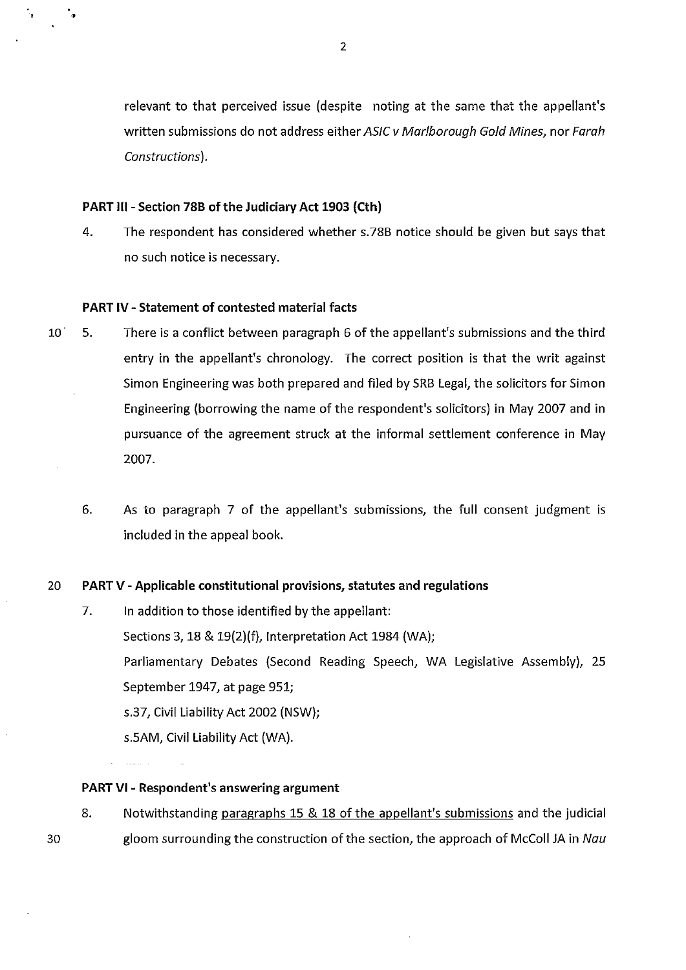relevant to that perceived issue (despite noting at the same that the appellant's written submissions do not address either ASIC v Marlborough Gold Mines, nor Farah Constructions).

#### PART III - Section 78B of the Judiciary Act 1903 (Cth)

4. The respondent has considered whether s.78B notice should be given but says that no such notice is necessary.

#### PART IV- Statement of contested material facts

- 10' 5. There is a conflict between paragraph 6 of the appellant's submissions and the third entry in the appellant's chronology. The correct position is that the writ against Simon Engineering was both prepared and filed by SRB Legal, the solicitors for Simon Engineering (borrowing the name of the respondent's solicitors) in May 2007 and in pursuance of the agreement struck at the informal settlement conference in May 2007.
	- 6. As to paragraph 7 of the appellant's submissions, the full consent judgment is included in the appeal book.

#### 20 PART V- Applicable constitutional provisions, statutes and regulations

7. In addition to those identified by the appellant: Sections 3, 18 & 19(2)(f), Interpretation Act 1984 (WA); Parliamentary Debates (Second Reading Speech, WA Legislative Assembly), 25 September 1947, at page 951; s.37, Civil Liability Act 2002 (NSW); s.5AM, Civil Liability Act (WA).

PART VI - Respondent's answering argument

30

8. Notwithstanding paragraphs 15 & 18 of the appellant's submissions and the judicial gloom surrounding the construction of the section, the approach of McColl JA in Nau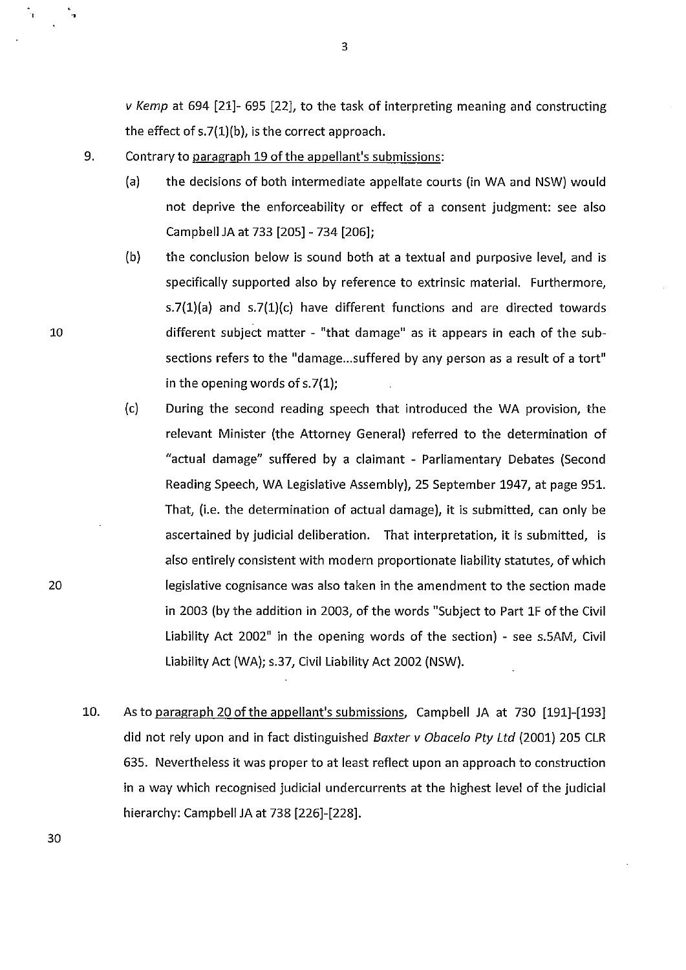v Kemp at 694 [21]- 695 [22], to the task of interpreting meaning and constructing the effect of s.7{1)(b), is the correct approach.

- 9. Contrary to paragraph 19 of the appellant's submissions:
	- (a) the decisions of both intermediate appellate courts (in WA and NSW) would not deprive the enforceability or effect of a consent judgment: see also Campbell JA at 733 [205]- 734 [206];
	- {b) the conclusion below is sound both at a textual and purposive level, and is specifically supported also by reference to extrinsic material. Furthermore, s.7{1)(a) and s.7{1)(c) have different functions and are directed towards different subject matter - "that damage" as it appears in each of the subsections refers to the "damage... suffered by any person as a result of a tort" in the opening words of s.7{1);
	- (c) During the second reading speech that introduced the WA provision, the relevant Minister (the Attorney General) referred to the determination of "actual damage" suffered by a claimant - Parliamentary Debates {Second Reading Speech, WA Legislative Assembly), 25 September 1947, at page 951. That, (i.e. the determination of actual damage), it is submitted, can only be ascertained by judicial deliberation. That interpretation, it is submitted, is also entirely consistent with modern proportionate liability statutes, of which legislative cognisance was also taken in the amendment to the section made in 2003 {by the addition in 2003, of the words "Subject to Part 1F of the Civil Liability Act 2002" in the opening words of the section) - see s.5AM, Civil Liability Act {WA); s.37, Civil Liability Act 2002 {NSW).
- 10. As to paragraph 20 of the appellant's submissions, Campbell JA at 730 [191]-[193] did not rely upon and in fact distinguished Baxter  $\nu$  Obacelo Pty Ltd (2001) 205 CLR 635. Nevertheless it was proper to at least reflect upon an approach to construction in a way which recognised judicial undercurrents at the highest level of the judicial hierarchy: Campbell JA at 738 [226]-[228].

10

•

20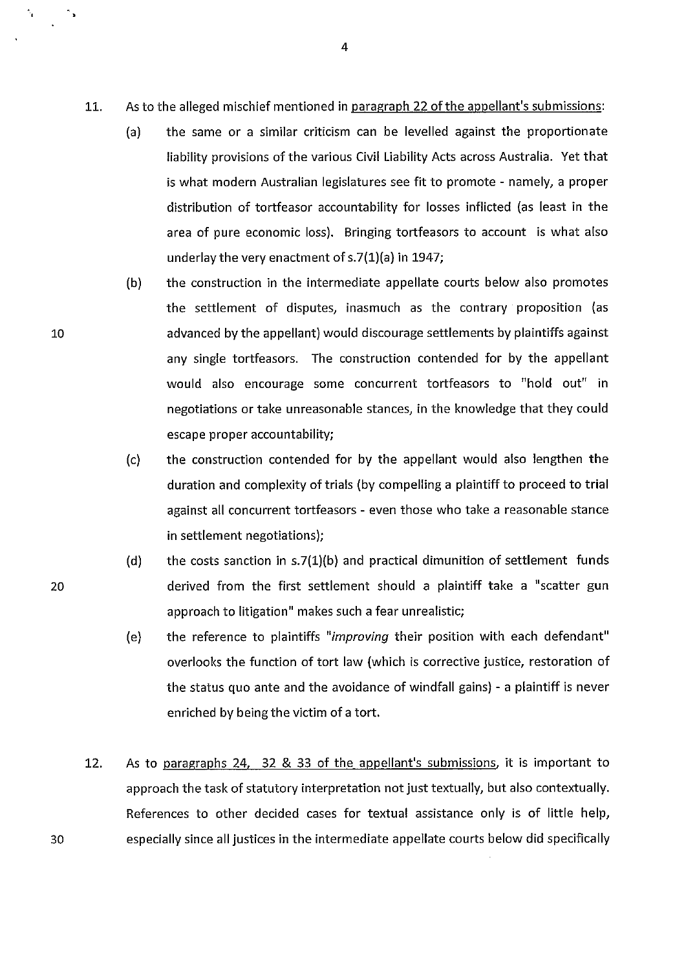- 11. As to the alleged mischief mentioned in paragraph 22 of the appellant's submissions:
	- (a) the same or a similar criticism can be levelled against the proportionate liability provisions of the various Civil Liability Acts across Australia. Yet that is what modern Australian legislatures see fit to promote - namely, a proper distribution of tortfeasor accountability for losses inflicted (as least in the area of pure economic loss). Bringing tortfeasors to account is what also underlay the very enactment of s.7(1)(a) in 1947;
	- (b) the construction in the intermediate appellate courts below also promotes the settlement of disputes, inasmuch as the contrary proposition (as advanced by the appellant) would discourage settlements by plaintiffs against any single tortfeasors. The construction contended for by the appellant would also encourage some concurrent tortfeasors to "hold out" in negotiations or take unreasonable stances, in the knowledge that they could escape proper accountability;
	- (c) the construction contended for by the appellant would also lengthen the duration and complexity of trials (by compelling a plaintiff to proceed to trial against all concurrent tortfeasors- even those who take a reasonable stance in settlement negotiations);
	- (d) the costs sanction in  $s.7(1)(b)$  and practical dimunition of settlement funds derived from the first settlement should a plaintiff take a "scatter gun approach to litigation" makes such a fear unrealistic;
	- (e) the reference to plaintiffs *"improving* their position with each defendant" overlooks the function of tort law (which is corrective justice, restoration of the status quo ante and the avoidance of windfall gains) - a plaintiff is never enriched by being the victim of a tort.
- 12. As to paragraphs 24, 32 & 33 of the appellant's submissions, it is important to approach the task of statutory interpretation not just textually, but also contextually. References to other decided cases for textual assistance only is of little help, especially since all justices in the intermediate appellate courts below did specifically

20

10

٠.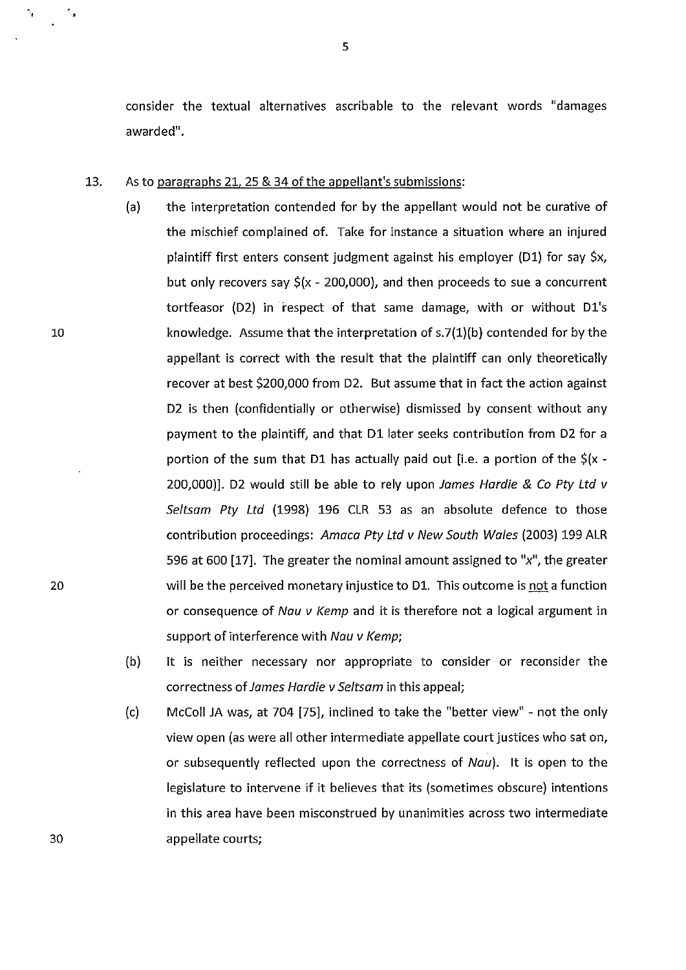consider the textual alternatives ascribable to the relevant words "damages awarded".

#### 13. As to paragraphs 21, 25 & 34 of the appellant's submissions:

- (a) the interpretation contended for by the appellant would not be curative of the mischief complained of. Take for instance a situation where an injured plaintiff first enters consent judgment against his employer (D1) for say \$x, but only recovers say  $$(x - 200,000)$ , and then proceeds to sue a concurrent tortfeasor (D2) in respect of that same damage, with or without D1's knowledge. Assume that the interpretation of  $s.7(1)(b)$  contended for by the appellant is correct with the result that the plaintiff can only theoretically recover at best \$200,000 from D2. But assume that in fact the action against D2 is then (confidentially or otherwise) dismissed by consent without any payment to the plaintiff, and that D1 later seeks contribution from D2 for a portion of the sum that D1 has actually paid out [i.e. a portion of the  $\zeta(x -$ 200,000)]. D2 would still be able to rely upon James Hardie & Co Pty Ltd v Seltsam Pty Ltd (1998) 196 CLR 53 as an absolute defence to those contribution proceedings: Amaca Pty Ltd v New South Wales (2003) 199 ALR 596 at 600 [17]. The greater the nominal amount assigned to " $x$ ", the greater will be the perceived monetary injustice to D1. This outcome is not a function or consequence of Nau v Kemp and it is therefore not a logical argument in support of interference with Nau v Kemp;
- (b) It is neither necessary nor appropriate to consider or reconsider the correctness of James Hardie v Seltsam in this appeal;
- (c) McColl JA was, at 704 [75], inclined to take the "better view" not the only view open (as were all other intermediate appellate court justices who sat on, or subsequently reflected upon the correctness of Nau). It is open to the legislature to intervene if it believes that its (sometimes obscure) intentions in this area have been misconstrued by unanimities across two intermediate appellate courts;

10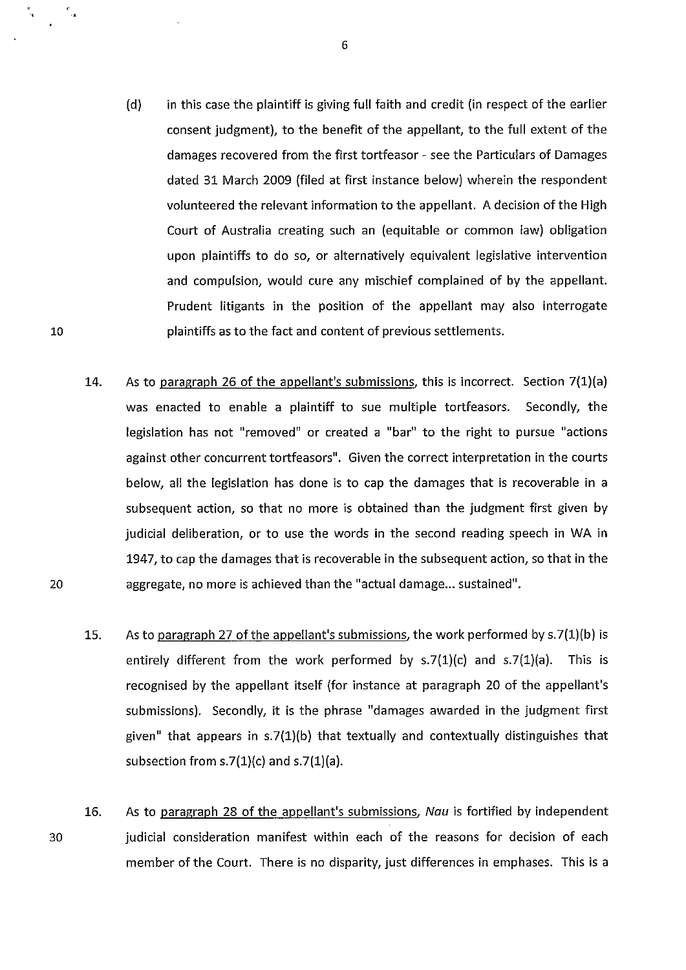- (d) in this case the plaintiff is giving full faith and credit (in respect of the earlier consent judgment), to the benefit of the appellant, to the full extent of the damages recovered from the first tortfeasor - see the Particulars of Damages dated 31 March 2009 (filed at first instance below) wherein the respondent volunteered the relevant information to the appellant. A decision of the High Court of Australia creating such an (equitable or common law) obligation upon plaintiffs to do so, or alternatively equivalent legislative intervention and compulsion, would cure any mischief complained of by the appellant. Prudent litigants in the position of the appellant may also interrogate plaintiffs as to the fact and content of previous settlements.
- 14. As to paragraph 26 of the appellant's submissions, this is incorrect. Section 7(1)(a) was enacted to enable a plaintiff to sue multiple tortfeasors. Secondly, the legislation has not "removed" or created a "bar" to the right to pursue "actions against other concurrent tortfeasors". Given the correct interpretation in the courts below, all the legislation has done is to cap the damages that is recoverable in a subsequent action, so that no more is obtained than the judgment first given by judicial deliberation, or to use the words in the second reading speech in WA in 1947, to cap the damages that is recoverable in the subsequent action, so that in the aggregate, no more is achieved than the "actual damage... sustained".
- 15. As to paragraph 27 of the appellant's submissions, the work performed by  $s.7(1)(b)$  is entirely different from the work performed by  $s.7(1)(c)$  and  $s.7(1)(a)$ . This is recognised by the appellant itself (for instance at paragraph 20 of the appellant's submissions). Secondly, it is the phrase "damages awarded in the judgment first given" that appears in s.7(1)(b) that textually and contextually distinguishes that subsection from  $s.7(1)(c)$  and  $s.7(1)(a)$ .
- 16. 30 As to paragraph 28 of the appellant's submissions, Nau is fortified by independent judicial consideration manifest within each of the reasons for decision of each member of the Court. There is no disparity, just differences in emphases. This is a

20

10

,,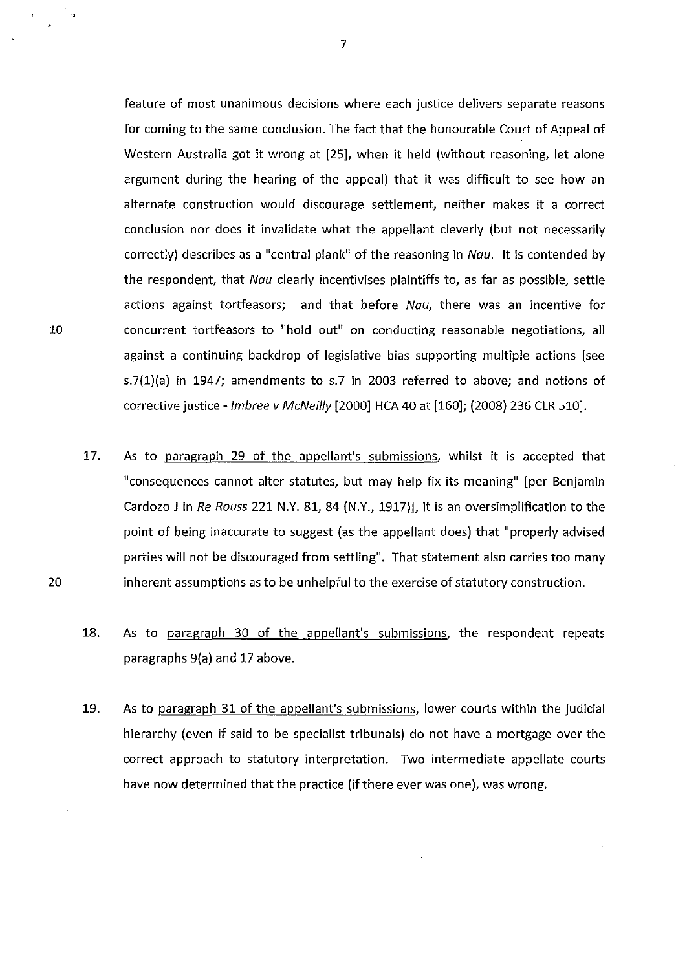feature of most unanimous decisions where each justice delivers separate reasons for coming to the same conclusion. The fact that the honourable Court of Appeal of Western Australia got it wrong at [25], when it held (without reasoning, let alone argument during the hearing of the appeal} that it was difficult to see how an alternate construction would discourage settlement, neither makes it a correct conclusion nor does it invalidate what the appellant cleverly (but not necessarily correctly) describes as a "central plank" of the reasoning in Nau. It is contended by the respondent, that Nau clearly incentivises plaintiffs to, as far as possible, settle actions against tortfeasors; and that before Nau, there was an incentive for concurrent tortfeasors to "hold out" on conducting reasonable negotiations, all against a continuing backdrop of legislative bias supporting multiple actions [see s.7(1}(a} in 1947; amendments to s.7 in 2003 referred to above; and notions of corrective justice - Imbree v McNeilly [2000] HCA 40 at [160]; (2008) 236 CLR 510].

- 17. As to paragraph 29 of the appellant's submissions, whilst it is accepted that "consequences cannot alter statutes, but may help fix its meaning" [per Benjamin Cardozo J in *Re Rouss* 221 N.Y. 81, 84 (N.Y., 1917}], it is an oversimplification to the point of being inaccurate to suggest (as the appellant does} that "properly advised parties will not be discouraged from settling". That statement also carries too many inherent assumptions as to be unhelpful to the exercise of statutory construction.
- 18. As to paragraph 30 of the appellant's submissions, the respondent repeats paragraphs 9(a} and 17 above.
- 19. As to paragraph 31 of the appellant's submissions, lower courts within the judicial hierarchy (even if said to be specialist tribunals} do not have a mortgage over the correct approach to statutory interpretation. Two intermediate appellate courts have now determined that the practice (if there ever was one}, was wrong.

10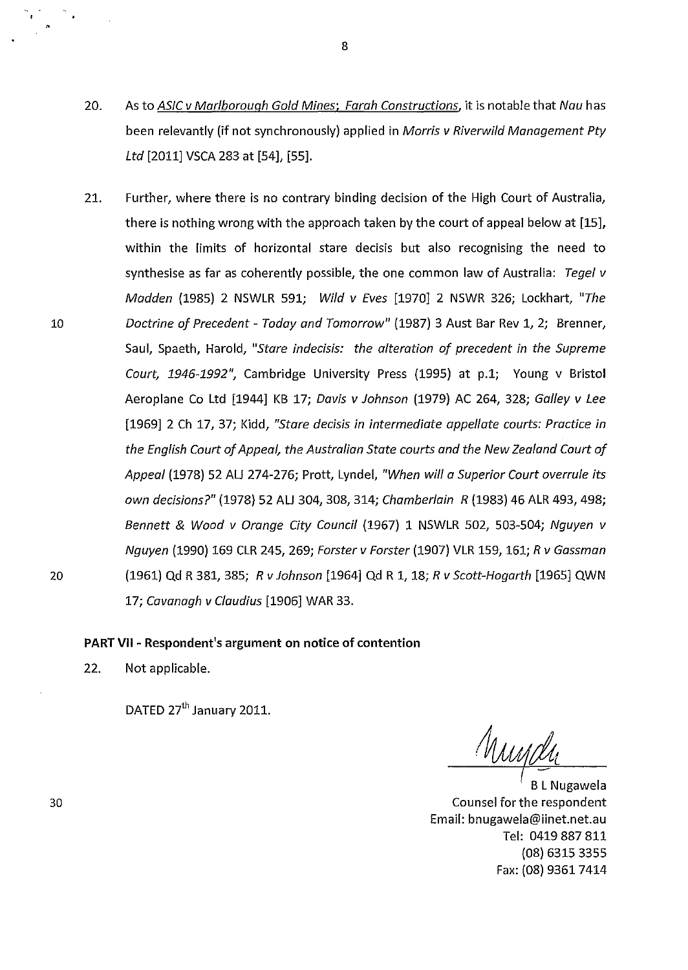- 20. As to *ASIC v Marlborough Gold Mines; Farah Constructions,* it is notable that *Nau* has been relevantly (if not synchronously) applied in *Morris v Riverwild Management Pty Ltd* [2011] VSCA 283 at [54], [55].
- 21. Further, where there is no contrary binding decision of the High Court of Australia, there is nothing wrong with the approach taken by the court of appeal below at [15], within the limits of horizontal stare decisis but also recognising the need to synthesise as far as coherently possible, the one common law of Australia: *Tegel v Madden* (1985) 2 NSWLR 591; *Wild v Eves* [1970] 2 NSWR 326; Lockhart, *"The Doctrine of Precedent- Today and Tomorrow"* (1987) 3 Aust Bar Rev 1, 2; Brenner, Saul, Spaeth, Harold, *"Stare indecisis: the alteration of precedent in the Supreme Court, 1946-1992",* Cambridge University Press (1995) at p.1; Young v Bristol Aeroplane Co Ltd [1944] KB 17; *Davis v Johnson* (1979) AC 264, 328; *Galley v Lee*  [1969] 2 Ch 17, 37; Kidd, *"Stare decisis in intermediate appellate courts: Practice in the English Court of Appeal, the Australian State courts and the New Zealand Court of Appeal* (1978) 52 AU 274-276; Prott, Lynde!, *"When will a Superior Court overrule its own decisions?"* (1978) 52 AU 304, 308, 314; *Chamberlain R* (1983) 46 ALR 493, 498; *Bennett* & *Wood v Orange City Council* (1967) 1 NSWLR 502, 503-504; *Nguyen v Nguyen* (1990) 169 CLR 245, 269; *Forster v Forster* (1907) VLR 159, 161; *R v Gassman*  (1961) Qd R 381, 385; *R v Johnson* [1964] Qd R 1, 18; *R v Scott-Hogarth* [1965] QWN 17; *Cavanagh v Claudius* [1906] WAR 33.

#### **PART VII - Respondent's argument on notice of contention**

22. Not applicable.

DATED 27<sup>th</sup> January 2011.

Muya

*(* B: Nugawela Counsel for the respondent Email: bnugawela@iinet.net.au Tel: 0419 887 811 (08) 6315 3355 Fax: (08) 9361 7414

10

,. . ' •

20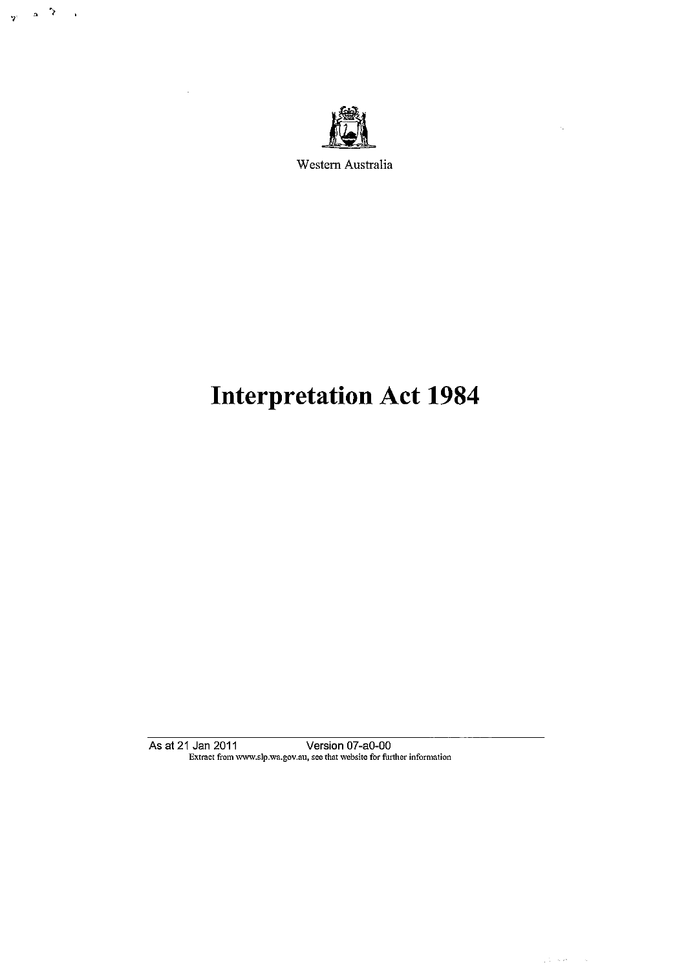

 $\frac{1}{\gamma}$  ,  $\alpha$  ,  $\beta$ 

 $\mathcal{L}_{\mathbf{A}}$ 

 $\ddot{\phantom{a}}$ 

Western Australia

# **Interpretation Act 1984**

As at 21 Jan 2011 Version 07 -a0-00 Extract from www.slp.wa.gov.au, see that website for further infommtion  $\epsilon_{\rm m}$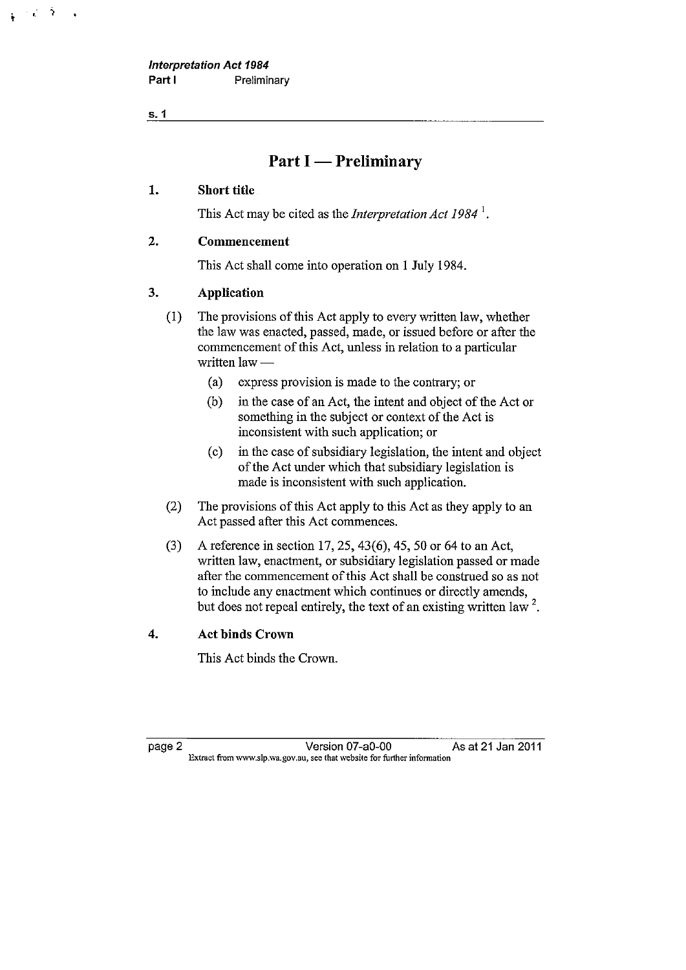**Interpretation Act 1984**  Part **I** Preliminary

**s.1** 

 $\tilde{\gamma}$ i.

# **Part I** — Preliminary

#### **1. Short title**

This Act may be cited as the *Interpretation Act 1984* <sup>1</sup> •

#### **2. Commencement**

This Act shall come into operation on I July 1984.

#### **3. Application**

(1) The provisions of this Act apply to every written law, whether the law was enacted, passed, made, or issued before or after the commencement of this Act, unless in relation to a particular written law -

- (a) express provision is made to the contrary; or
- (b) in the case of an Act, the intent and object of the Act or something in the subject or context of the Act is inconsistent with such application; or
- (c) in the case of subsidiary legislation, the intent and object of the Act under which that subsidiary legislation is made is inconsistent with such application.
- (2) The provisions of this Act apply to this Act as they apply to an Act passed after this Act commences.
- (3) A reference in section 17, 25, 43(6), 45, 50 or 64 to an Act, written law, enactment, or subsidiary legislation passed or made after the commencement of this Act shall be construed so as not to include any enactment which continues or directly amends, but does not repeal entirely, the text of an existing written law  $2$ .

#### **4. Act binds Crown**

This Act binds the Crown.

page 2 Version 07 -a0-00 As at 21 Jan 2011 **Extmct from www.slp.wa.gov.au, see that website for further infonnation**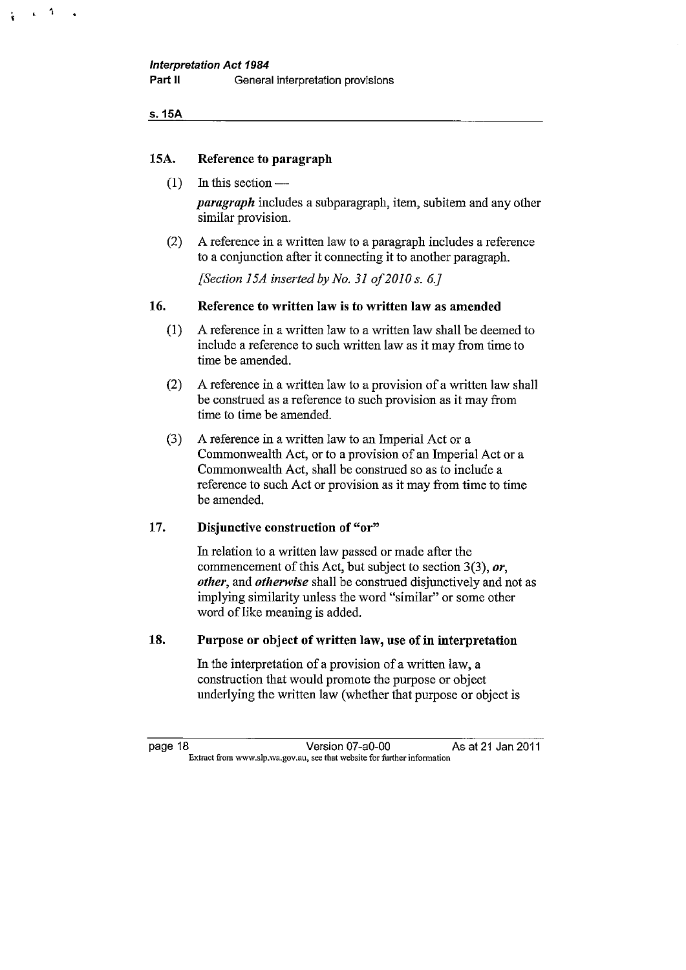s.15A

 $\ddot{\phantom{a}}$ 

#### 15A. Reference to paragraph

 $(1)$  In this section —

*paragraph* includes a subparagraph, item, subitem and any other similar provision.

(2) A reference in a written law to a paragraph includes a reference to a conjunction after it connecting it to another paragraph.

*[Section 15A inserted by No. 31 of 2010 s. 6.]* 

#### 16. Reference to written law is to written law as amended

- (1) A reference in a written law to a written law shall be deemed to include a reference to such written law as it may from time to time be amended.
- (2) A reference in a written law to a provision of a written law shall be construed as a reference to such provision as it may from time to time be amended.
- (3) A reference in a written law to an Imperial Act or a Commonwealth Act, or to a provision of an Imperial Act or a Commonwealth Act, shall be construed so as to include a reference to such Act or provision as it may from time to time be amended.

#### 17. Disjunctive construction of "or"

In relation to a written law passed or made after the commencement of this Act, but subject to section 3(3), *or, other,* and *otherwise* shall be construed disjunctively and not as implying similarity unless the word "similar" or some other word of like meaning is added.

#### 18. Purpose or object of written law, use of in interpretation

In the interpretation of a provision of a written law, a construction that would promote the purpose or object underlying the written law (whether that purpose or object is

page 18 Version 07-a0-00 As at 21 Jan 2011 Extract from www.slp.wa.gov.au, see that website for further information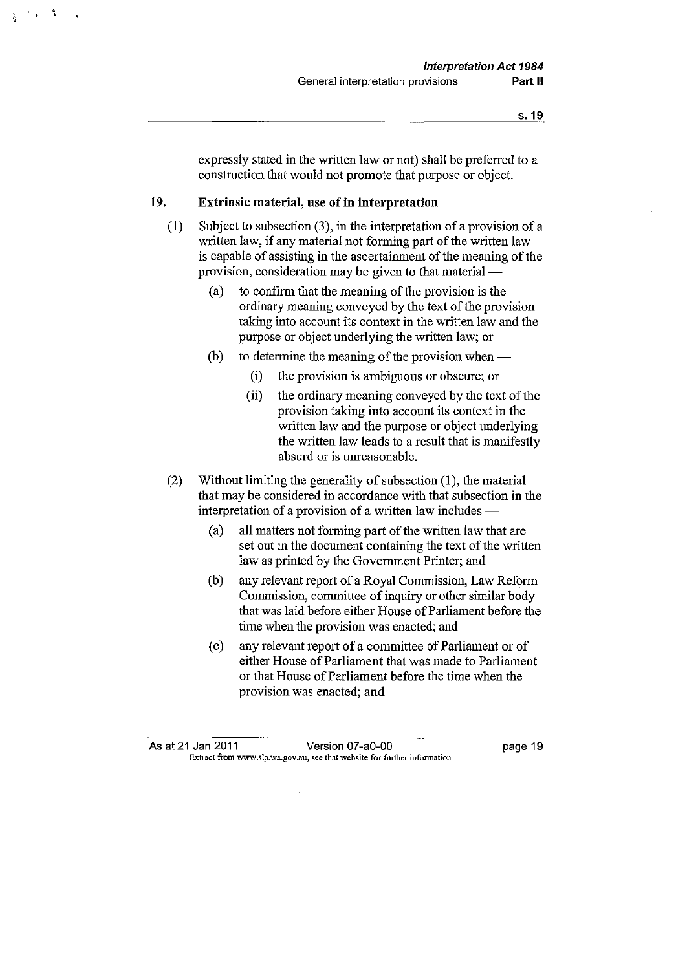expressly stated in the written law or not) shall be preferred to a construction that would not promote that purpose or object.

#### **19. Extrinsic material, use of in interpretation**

 $\Lambda$ 

- (I) Subject to subsection (3), in the interpretation of a provision of a written law, if any material not forming part of the written law is capable of assisting in the ascertainment of the meaning of the provision, consideration may be given to that material —
	- (a) to confirm that the meaning of the provision is the ordinary meaning conveyed by the text of the provision taking into account its context in the written law and the purpose or object underlying the written law; or
	- (b) to determine the meaning of the provision when  $-$ 
		- (i) the provision is ambiguous or obscure; or
		- (ii) the ordinary meaning conveyed by the text of the provision taking into account its context in the written law and the purpose or object underlying the written law leads to a result that is manifestly absurd or is unreasonable.
- (2) Without limiting the generality of subsection (I), the material that may be considered in accordance with that subsection in the interpretation of a provision of a written law includes —
	- (a) all matters not forming part of the written law that are set out in the document containing the text of the written law as printed by the Government Printer; and
	- (b) any relevant report of a Royal Commission, Law Reform Commission, committee of inquiry or other similar body that was laid before either House of Parliament before the time when the provision was enacted; and
	- (c) any relevant report of a committee of Parliament or of either House of Parliament that was made to Parliament or that House of Parliament before the time when the provision was enacted; and

As at 21 Jan 2011 **Version 07-a0-00 Dage 19 Extmct from www.slp.wa.gov.au, see that website for further information**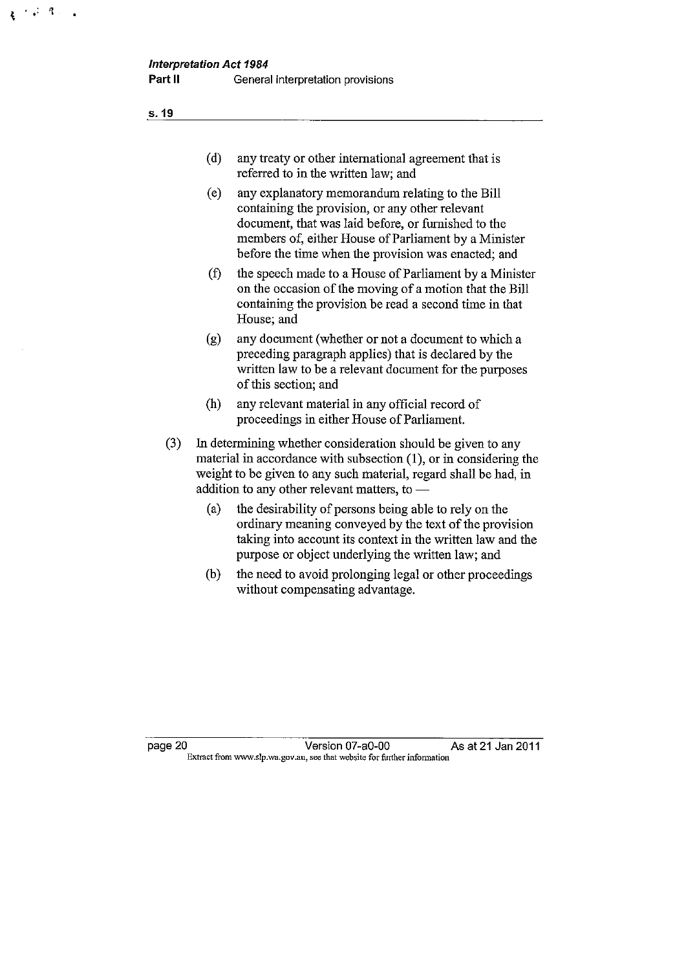**s.19** 

 $\mathbf{r} \in \mathbb{R}^{d}$ 

| (d) | any treaty or other international agreement that is |
|-----|-----------------------------------------------------|
|     | referred to in the written law; and                 |

- (e) any explanatory memorandum relating to the Bill containing the provision, or any other relevant document, that was laid before, or furnished to the members of, either House of Parliament by a Minister before the time when the provision was enacted; and
- (f) the speech made to a House of Parliament by a Minister on the occasion of the moving of a motion that the Bill containing the provision be read a second time in that House; and
- (g) any document (whether or not a document to which a preceding paragraph applies) that is declared by the written law to be a relevant document for the purposes of this section; and
- (h) any relevant material in any official record of proceedings in either House of Parliament.
- (3) In determining whether consideration should be given to any material in accordance with subsection  $(1)$ , or in considering the weight to be given to any such material, regard shall be had, in addition to any other relevant matters, to  $-$ 
	- (a) the desirability of persons being able to rely on the ordinary meaning conveyed by the text of the provision taking into account its context in the written law and the purpose or object underlying the written law; and
	- (b) the need to avoid prolonging legal or other proceedings without compensating advantage.

page 20 Version 07-a0-00 As at 21 Jan 2011 **Extract from www.slp.wa.gov.au, see that website for further infonnation**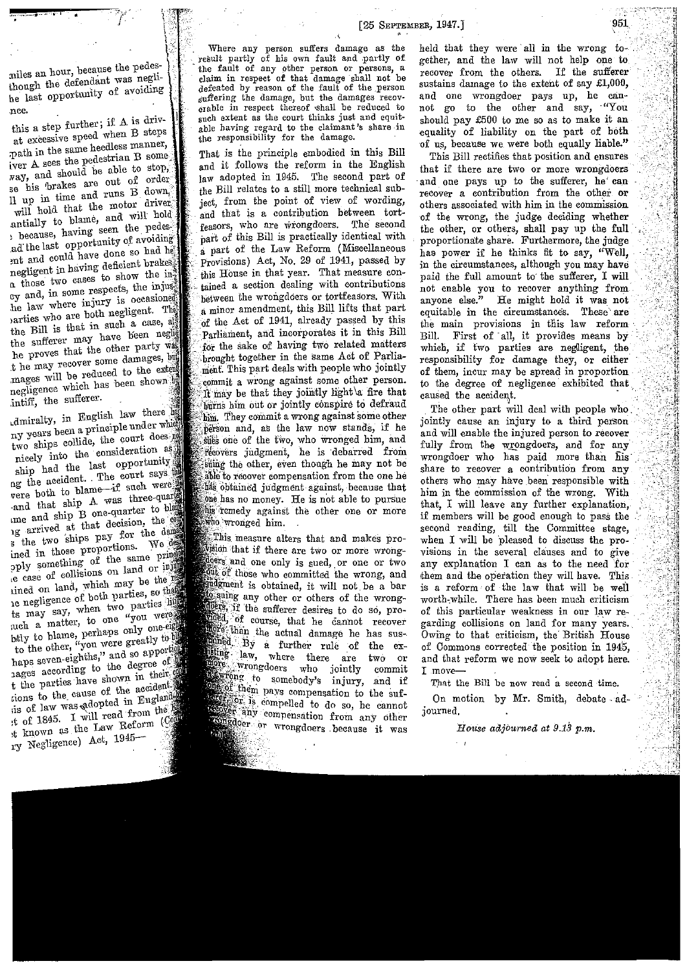miles an hour, because the pedes-<br>though the defendant was neglihe last opportunity of avoiding

, . . . . . . . .  $\mathbf{e}$  . . .  $\mathbf{e}$ 

nce.<br>this a step further; if A is drivat excessive speed when B steps  $m$ <sub>path</sub> in the same heedless manner, iver A sees the pedestrian B some  $\overline{N}$  and should be able to stop, se his brakes are out of order Il up in time and runs B down. antially to blame, and will hold, because, having seen the pedes-<br>ad the last opportunity of avoiding<br>ant and could have done so had he ad the last opportunity of avoiding ent and could have done so<br>negligent in having deficient  $n$  those two cases to show the  $\ln \frac{1}{3}$ ey and, in some respects, the injushe law where injury is oceasioned parties who are both negligent. The the Bill is that in such a case, all<br>the sufferer may have been neglig he proves that the other party was mages will be reduced to the extern negligence which has been shown intiff, the sufferer.

dmiralty, in English law there has  $\frac{1}{2}$  dmiralty,  $\frac{1}{2}$  and  $\frac{1}{2}$  and  $\frac{1}{2}$  and  $\frac{1}{2}$  and  $\frac{1}{2}$  and  $\frac{1}{2}$  and  $\frac{1}{2}$  and  $\frac{1}{2}$  and  $\frac{1}{2}$  and  $\frac{1}{2}$  and  $\frac{1}{2}$  and  $\frac{1}{2}$  and  $\frac{1}{2}$  and  $\frac{1}{2}$  and  $\frac{1$ two ships collide, the court does not the ship had the last opportunity and the last separation of the court says in the accident. The court says were and that ship A was three-quarter to blame and ship B one-quarter to blame are an in B one-quarter to blame are an in the decision, the comparison is the two ships pay for the density in and in those proportions. We denote \* the two ships pay for the damage pply something of the same principle ease of collisions on land or injury ined on land, which may be the results. ,e easy which may be the rest of both parties, so the service of both parties, so the service of the may say, when two parties uch a matter, to one "you were"  $_{\text{bdry}}$  to blame, perhaps only one  $\frac{1}{10}$  the other, "you were green-eighths," and so haps seven-eighths," hages according to the degree of tions to the cause of the accident is of law was adopted in Englands<br>\* t of 1845. I will read from the past  $\begin{array}{c} \text{if } \text{if } 1845, \text{if } 1845, \text{if } 1845 \text{ if } 1845 \text{ if } 1945 \text{ if } 1945 \text{ if } 1945 \text{ if } 1945 \text{ if } 1945 \text{ if } 1945 \text{ if } 1945 \text{ if } 1945 \text{ if } 1945 \text{ if } 1945 \text{ if } 1945 \text{ if } 1945 \text{ if } 1945 \text{ if } 1945 \text{ if } 1945 \text{ if } 1945 \text{ if }$ ry Negligence) Act, 1945-

' Where any person suffers damage as the result partly of his own fault and partly of the fault of any other person or persons, a claim in respect of that damage shall not be defeated by reason of the fault of the person suffering the damage, but the damages recoverable in respect thereof shall be reduced to such extent as the court thinks just and equitable having regard to the claimant's share in the responsibility for the damage.

That is fhe principle embodied in this Bill and it follows the reform in the English law adopted in 1945. The second part of the Bill relates to a still more technical subject, from the point of view of wording, and that is a contribution between tortfeasors, who are wrongdoers. The second part of this Bill is practically identical with a part of the Law Reform (Miscellaneous Provisions) Act, No. 29 of 1941, passed by this House in that year. That measure contained a section dealing with contributions hetween the wrongdoers or tortfeasors. With minor amendment, this Bill lifts that part of the Act of 1941, already passed by this Parliament, and incorporates it in this Bill for the sake of having two related matters brought together in the same Act of Parliament. This part deals with people who jointly commit a wrong against some other person. be that they jomtly light \a fire that burns him out or jointly conspire to defraud him. They commit a wrong against some other person and, as the law now stands, if he stiles one of the two, who wronged him, and 'recovers judgment, he is debarred from suing the other, even though he may not be able to recover compensation from the one he has obtained judgment against, because that one has no money. He is not able to pursue his remedy against the other one or more who wronged him.

This measure alters that and makes proif there are two or more wrongdoers and one only is sued, or one or two who committed the wrong, and indgment is obtained, it will not be a bar alosuing any other or others of the wrongders if the sufferer desires to do so, procourse, that he cannot recover anore than the actual damage he has sus-By a further rule of the exlating law, where there are two or more who jointly commit somebody's injury, and if pne of them pays compensation to the sufexperience in the compelled to do so, he cannot scover any compensation from any other or wrongdoers because it was

held that they were all in the wrong together, and the law will not help one to recover from the others. If the sufterer sustains damage to the extent of say £1,000, and one wrongdoer pays up, he cannot go to the other and say, "You should pay £500 to me so as to make it an equality of liability on the part of both of us, because we were both equally liable."

This Bill rectifies that position and ensures that if there are two or more wrongdoers and one pays up to the sufferer, he' can recover a contribution from the other or others associated with him in the commission -of the wrong, the judge deciding whether the other, or others, shall pay up the full proportionate share. Furthermore, the judge has power if he thinks fit to say, "Well, in the circumstances, although you may have paid the full amount to the sufferer, I will not enable you to recover anything from anyone else." He might hold it was not equitable in the circumstances. These are the main provisions in this law reform-Bill. First of all, it provides means by which, if two parties are negligent, the responsibility for damage they, or either of them, incur may be spread in proportion to the degree of negligence exhibited that caused the accident.

The other part will deal with people who jointly cause an injury to a third person and will enable the injured person to recover fully from the wrongdoers, and for any wrongdoer who has paid more than hisshare to recover a contribution from any others who may have been responsible with him in the commission of the wrong. With that, I will leave any further explanation, if members will be good enough to pass the second reading, till the Committee stage, when I will be 'pleased to discuss the provisions in the several clauses and to give any explanation I can as to the need for them and the operation they will have. This is a reform of the law that will be weil worth-while. There has been much criticism of this particular weakness in our law regarding collisions on land for many years. Owing to that criticism, the British House of Commons corrected the position in 1945, and that reform we now seek to adopt here. I .move-

That the Bill be now read a second time.

On motion by Mr. Smith, debate adjourned.

*HoUse adjbu-rned at 9.13 p.m.*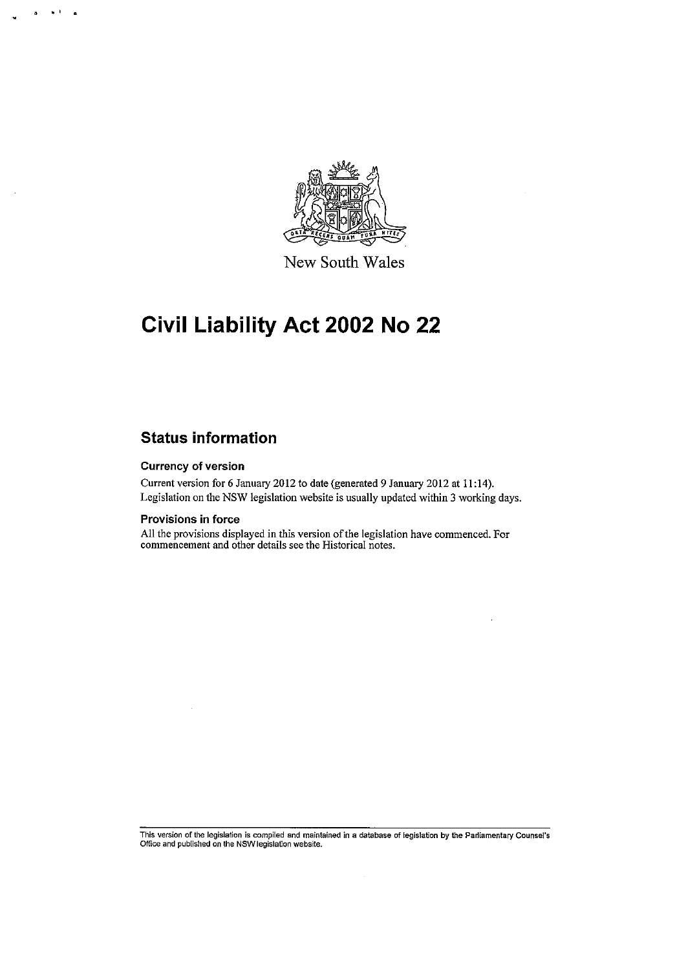

New South Wales

# **Civil Liability Act 2002 No 22**

## **Status information**

#### Currency of version

 $\sim$  1

Current version for 6 January 2012 to date (generated 9 January 2012 at 11 :14). Legislation on the NSW legislation website is usually updated within 3 working days.

#### Provisions in force

All the provisions displayed in this version of the legislation have commenced. For **commencement and other details see the Historical notes.** 

**This version of the legislation is compiled and maintained in a database of legislation by the Parliamentary Counsel's Office and published on the NSW legislation website.** 

 $\mathcal{L}$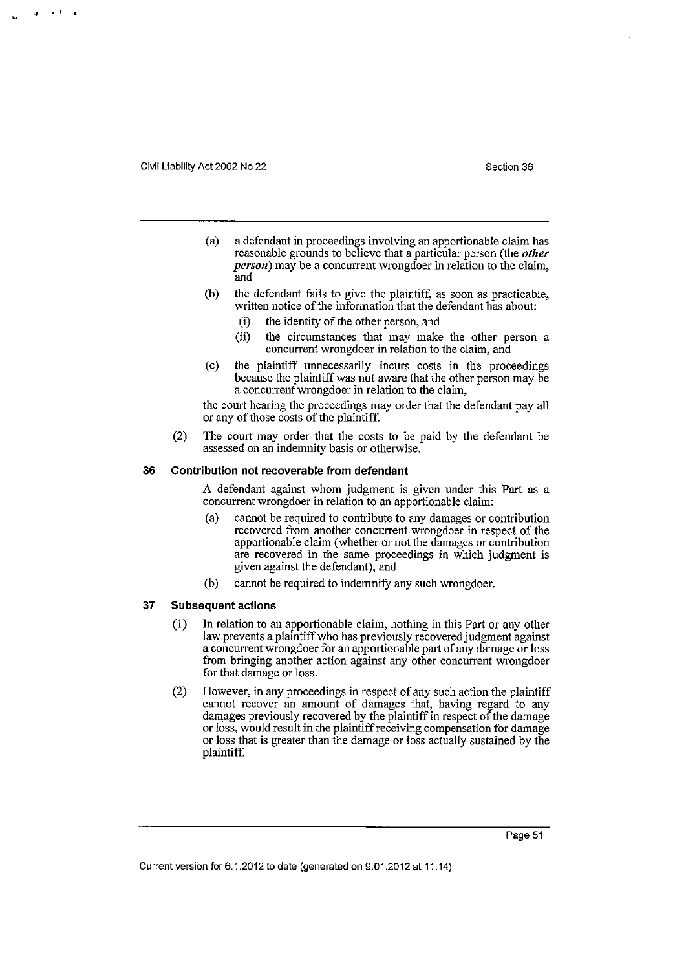**i) Oo I a** 

- (a) a defendant in proceedings involving an apportionable claim has reasonable grounds to believe that a particular person (the other *person*) may be a concurrent wrongdoer in relation to the claim, and
- (b) the defendant fails to give the plaintiff, as soon as practicable, written notice of the information that the defendant has about:
	- (i) the identity of the other person, and
	- (ii) the circumstances that may make the other person a concurrent wrongdoer in relation to the claim, and
- (c) the plaintiff unnecessarily incurs costs in the proceedings because the plaintiff was not aware that the other person may be a concurrent wrongdoer in relation to the claim,

the court hearing the proceedings may order that the defendant pay all or any of those costs of the plaintiff.

(2) The court may order that the costs to be paid by the defendant be assessed on an indemnity basis or otherwise.

#### **36 Contribution not recoverable from defendant**

A defendant against whom judgment is given under this Part as a concurrent wrongdoer in relation to an apportionable claim:

- (a) cannot be required to contribute to any damages or contribution recovered from another concurrent wrongdoer in respect of the apportionable claim (whether or not the damages or contribution are recovered in the same proceedings in which judgment is given against the defendant), and
- (b) cannot be required to indemnify any such wrongdoer.

#### **37 Subsequent actions**

- (1) In relation to an apportionable claim, nothing in this Part or any other law prevents a plaintiff who has previously recovered judgment against a concurrent wrongdoer for an apportionable part of any damage or loss from bringing another action against any other concurrent wrongdoer for that damage or loss.
- (2) However, in any proceedings in respect of any such action the plaintiff cannot recover an amount of damages that, having regard to any damages previously recovered by the plaintiff in respect of the damage or loss, would result in the plaintiff receiving compensation for damage or loss that is greater than the damage or loss actually sustained by the plaintiff.

Current version for 6.1.2012 to date (generated on 9.01.2012 at 11 :14)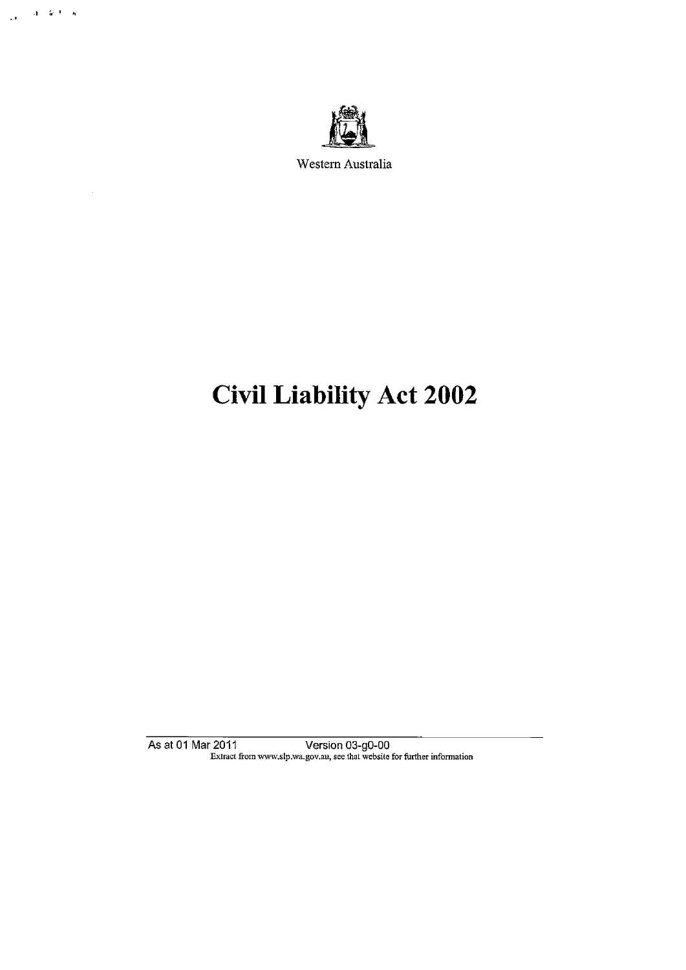

.<br>In , if  $\mathbb{E}[\mathcal{S}^{(1)}]$  is

 $\bar{\mathcal{A}}$ 

Western Australia

# Civil Liability Act 2002

As at 01 Mar 2011 Version 03-g0-00 Extract from www.slp.wa.gov.au, see that website for further information